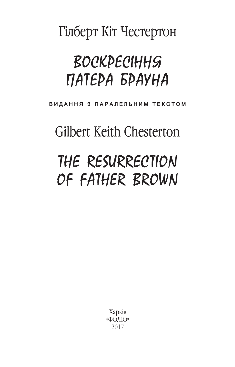Гілберт Кіт Честертон

## **BOCKPECIHHS** ПАТЕРА БРАУНА

ВИДАННЯ З ПАРАЛЕЛЬНИМ ТЕКСТОМ

**Gilbert Keith Chesterton** 

## THE RESURRECTION OF FATHER BROWN

Харків «ФОЛЮ» 2017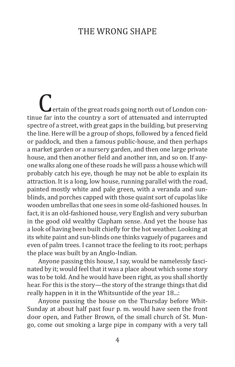## The Wrong Shape

**Pertain of the great roads going north out of London con**tinue far into the country a sort of attenuated and interrupted spectre of a street, with great gaps in the building, but preserving the line. Here will be a group of shops, followed by a fenced field or paddock, and then a famous public-house, and then perhaps a market garden or a nursery garden, and then one large private house, and then another field and another inn, and so on. If anyone walks along one of these roads he will pass a house which will probably catch his eye, though he may not be able to explain its attraction. It is a long, low house, running parallel with the road, painted mostly white and pale green, with a veranda and sunblinds, and porches capped with those quaint sort of cupolas like wooden umbrellas that one sees in some old-fashioned houses. In fact, it is an old-fashioned house, very English and very suburban in the good old wealthy Clapham sense. And yet the house has a look of having been built chiefly for the hot weather. Looking at its white paint and sun-blinds one thinks vaguely of pugarees and even of palm trees. I cannot trace the feeling to its root; perhaps the place was built by an Anglo-Indian.

Anyone passing this house, I say, would be namelessly fascinated by it; would feel that it was a place about which some story was to be told. And he would have been right, as you shall shortly hear. For this is the story—the story of the strange things that did really happen in it in the Whitsuntide of the year 18...:

Anyone passing the house on the Thursday before Whit-Sunday at about half past four p. m. would have seen the front door open, and Father Brown, of the small church of St. Mungo, come out smoking a large pipe in company with a very tall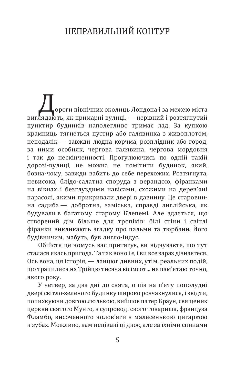## Неправильний контур

Дороги північних околиць Лондона і за межею міста виглядають, як примарні вулиці, — нерівний і розтягнутий пунктир будинків наполегливо тримає лад. За купкою крамниць тягнеться пустир або галявинка з живоплотом, неподалік — завжди людна корчма, розплідник або город, за ними особняк, чергова галявина, чергова мордовня і так до нескінченності. Прогулюючись по одній такій дорозі-вулиці, не можна не помітити будинок, який, бозна-чому, завжди вабить до себе перехожих. Розтягнута, невисока, блідо-салатна споруда з верандою, фіранками на вікнах і безглуздими навісами, схожими на дерев'яні парасолі, якими прикривали двері в давнину. Це старовинна садиба — добротна, заміська, справді англійська, як будували в багатому старому Клепемі. Але здається, що створений дім більше для тропіків: білі стіни і світлі фіранки викликають згадку про пальми та тюрбани. Його будівничим, мабуть, був англо-індус.

Обійстя це чомусь вас притягує, ви відчуваєте, що тут сталася якась пригода. Та так воно і є, і ви все зараз дізнаєтеся. Ось вона, ця історія, — ланцюг дивних, утім, реальних подій, що трапилися на Трійцю тисяча вісімсот... не пам'ятаю точно, якого року.

У четвер, за два дні до свята, о пів на п'яту пополудні двері світло-зеленого будинку широко розчахнулися, і звідти, попихкуючи довгою люлькою, вийшов патер Браун, священик церкви святого Мунго, в супроводі свого товариша, француза Фламбо, височенного чолов'яги з малесенькою цигаркою в зубах. Можливо, вам нецікаві ці двоє, але за їхніми спинами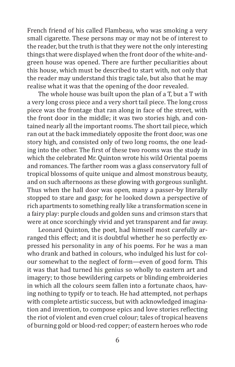French friend of his called Flambeau, who was smoking a very small cigarette. These persons may or may not be of interest to the reader, but the truth is that they were not the only interesting things that were displayed when the front door of the white-andgreen house was opened. There are further peculiarities about this house, which must be described to start with, not only that the reader may understand this tragic tale, but also that he may realise what it was that the opening of the door revealed.

The whole house was built upon the plan of a T, but a T with a very long cross piece and a very short tail piece. The long cross piece was the frontage that ran along in face of the street, with the front door in the middle; it was two stories high, and contained nearly all the important rooms. The short tail piece, which ran out at the back immediately opposite the front door, was one story high, and consisted only of two long rooms, the one leading into the other. The first of these two rooms was the study in which the celebrated Mr. Quinton wrote his wild Oriental poems and romances. The farther room was a glass conservatory full of tropical blossoms of quite unique and almost monstrous beauty, and on such afternoons as these glowing with gorgeous sunlight. Thus when the hall door was open, many a passer-by literally stopped to stare and gasp; for he looked down a perspective of rich apartments to something really like a transformation scene in a fairy play: purple clouds and golden suns and crimson stars that were at once scorchingly vivid and yet transparent and far away.

Leonard Quinton, the poet, had himself most carefully arranged this effect; and it is doubtful whether he so perfectly expressed his personality in any of his poems. For he was a man who drank and bathed in colours, who indulged his lust for colour somewhat to the neglect of form—even of good form. This it was that had turned his genius so wholly to eastern art and imagery; to those bewildering carpets or blinding embroideries in which all the colours seem fallen into a fortunate chaos, having nothing to typify or to teach. He had attempted, not perhaps with complete artistic success, but with acknowledged imagination and invention, to compose epics and love stories reflecting the riot of violent and even cruel colour; tales of tropical heavens of burning gold or blood-red copper; of eastern heroes who rode